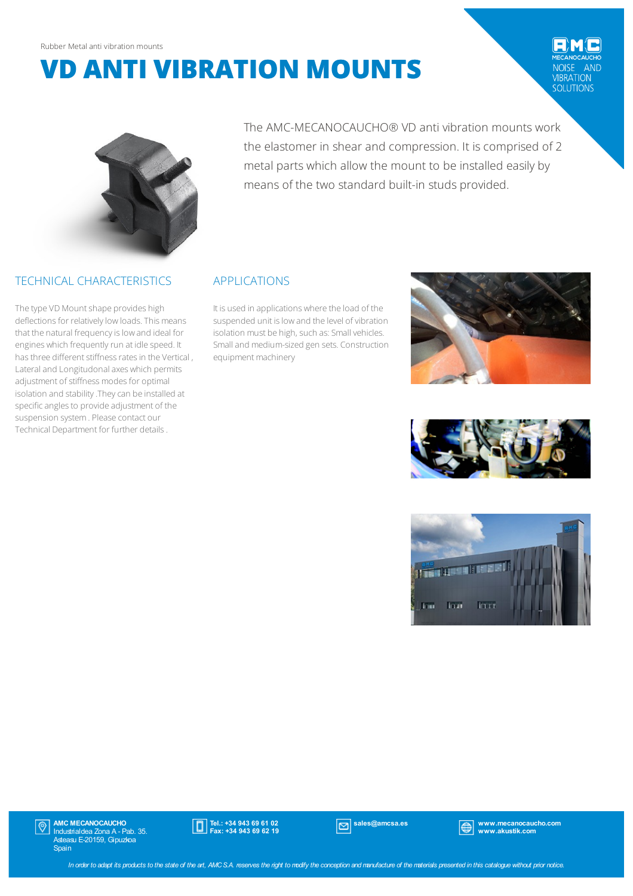# **VD ANTI VIBRATION MOUNTS**

## AND VIBRATION<br>SOLUTIONS



## TECHNICAL CHARACTERISTICS

The type VD Mount shape provides high deflections for relatively low loads. This means that the natural frequency is low and ideal for engines which frequently run at idle speed. It has three different stiffness rates in the Vertical , Lateral and Longitudonal axes which permits adjustment of stiffness modes for optimal isolation and stability .They can be installed at specific angles to provide adjustment of the suspension system. Please contact our Technical Department for further details.

The AMC-MECANOCAUCHO® VD anti vibration mounts work the elastomer in shear and compression. It is comprised of 2 metal parts which allow the mount to be installed easily by means of the two standard built-in studs provided.

## APPLICATIONS

It is used in applications where the load of the suspended unit is low and the level of vibration isolation must be high, such as: Small vehicles. Smalland medium-sized gen sets. Construction equipment machinery







AMC MECANOCAUCHO Industrialdea Zona A - Pab. 35. Asteasu E-20159, Gipuzkoa Spain  $|\mathbb{Q}|$ 



sales@amcsa.es www.mecanocaucho.com www.akustik.com

In order to adapt its products to the state of the art, AMCS.A. reserves the right to modify the conception and manufacture of the materials presented in this catalogue without prior notice.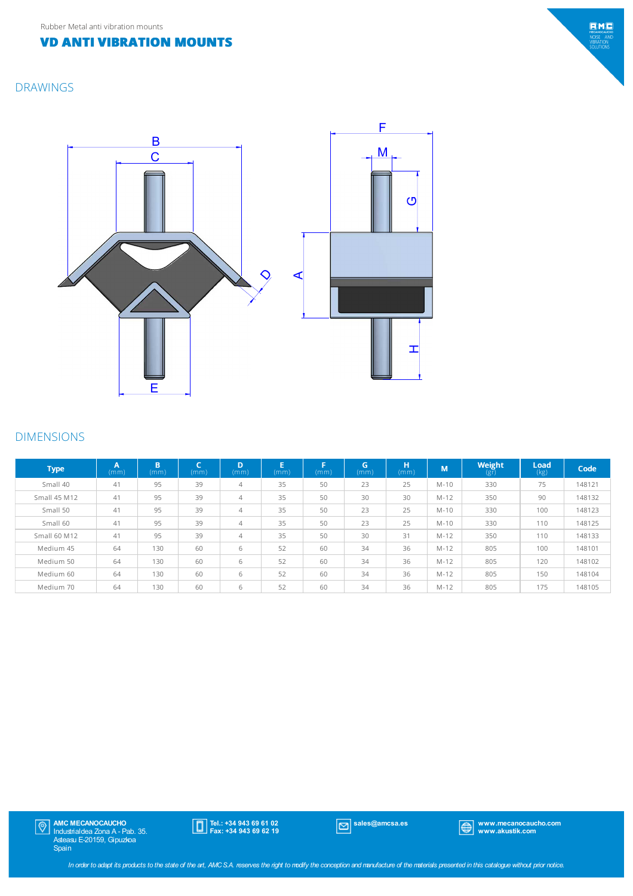#### **VD ANTI VIBRATION MOUNTS**

#### DRAWINGS



#### DIMENSIONS

| <b>Type</b>         | A<br>(mm) | B<br>(mm) | r<br>(mm) | D<br>(mm)      | E<br>(mm) | F<br>(mm) | G.<br>(mm) | н<br>(mm) | M        | Weight<br>(gr) | Load<br>(kg) | Code   |
|---------------------|-----------|-----------|-----------|----------------|-----------|-----------|------------|-----------|----------|----------------|--------------|--------|
| Small 40            | 41        | 95        | 39        | $\overline{4}$ | 35        | 50        | 23         | 25        | $M-10$   | 330            | 75           | 148121 |
| <b>Small 45 M12</b> | 41        | 95        | 39        | $\overline{4}$ | 35        | 50        | 30         | 30        | $M-12$   | 350            | 90           | 148132 |
| Small 50            | 41        | 95        | 39        | $\overline{4}$ | 35        | 50        | 23         | 25        | $M-10$   | 330            | 100          | 148123 |
| Small 60            | 41        | 95        | 39        | $\overline{4}$ | 35        | 50        | 23         | 25        | $M-10$   | 330            | 110          | 148125 |
| Small 60 M12        | 41        | 95        | 39        | $\overline{4}$ | 35        | 50        | 30         | 31        | $M - 12$ | 350            | 110          | 148133 |
| Medium 45           | 64        | 130       | 60        | 6              | 52        | 60        | 34         | 36        | $M - 12$ | 805            | 100          | 148101 |
| Medium 50           | 64        | 130       | 60        | 6              | 52        | 60        | 34         | 36        | $M - 12$ | 805            | 120          | 148102 |
| Medium 60           | 64        | 130       | 60        | 6              | 52        | 60        | 34         | 36        | $M - 12$ | 805            | 150          | 148104 |
| Medium 70           | 64        | 130       | 60        | 6              | 52        | 60        | 34         | 36        | $M - 12$ | 805            | 175          | 148105 |